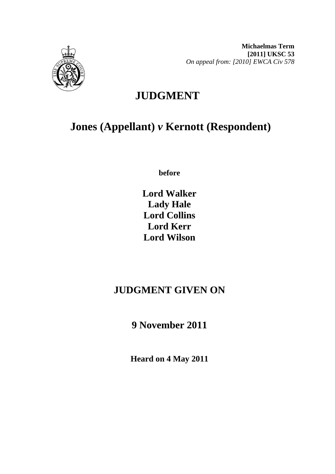

# **JUDGMENT**

## **Jones (Appellant)** *v* **Kernott (Respondent)**

**before** 

**Lord Walker Lady Hale Lord Collins Lord Kerr Lord Wilson** 

## **JUDGMENT GIVEN ON**

**9 November 2011**

**Heard on 4 May 2011**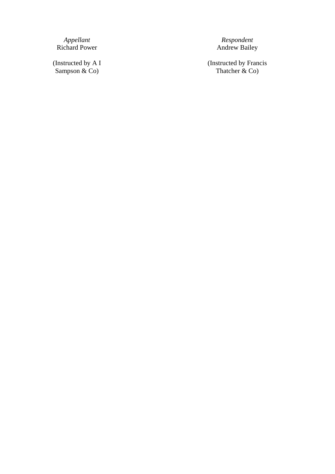(Instructed by A I Sampson & Co)

*Appellant Respondent*  Richard Power Andrew Bailey

> (Instructed by Francis Thatcher & Co)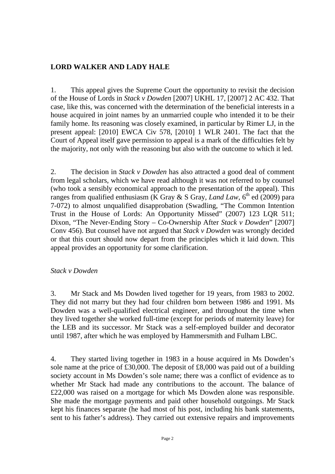#### **LORD WALKER AND LADY HALE**

1. This appeal gives the Supreme Court the opportunity to revisit the decision of the House of Lords in *Stack v Dowden* [2007] UKHL 17, [2007] 2 AC 432. That case, like this, was concerned with the determination of the beneficial interests in a house acquired in joint names by an unmarried couple who intended it to be their family home. Its reasoning was closely examined, in particular by Rimer LJ, in the present appeal: [2010] EWCA Civ 578, [2010] 1 WLR 2401. The fact that the Court of Appeal itself gave permission to appeal is a mark of the difficulties felt by the majority, not only with the reasoning but also with the outcome to which it led.

2. The decision in *Stack v Dowden* has also attracted a good deal of comment from legal scholars, which we have read although it was not referred to by counsel (who took a sensibly economical approach to the presentation of the appeal). This ranges from qualified enthusiasm (K Gray & S Gray, *Land Law*,  $6<sup>th</sup>$  ed (2009) para 7-072) to almost unqualified disapprobation (Swadling, "The Common Intention Trust in the House of Lords: An Opportunity Missed" (2007) 123 LQR 511; Dixon, "The Never-Ending Story – Co-Ownership After *Stack v Dowden*" [2007] Conv 456). But counsel have not argued that *Stack v Dowden* was wrongly decided or that this court should now depart from the principles which it laid down. This appeal provides an opportunity for some clarification.

#### *Stack v Dowden*

3. Mr Stack and Ms Dowden lived together for 19 years, from 1983 to 2002. They did not marry but they had four children born between 1986 and 1991. Ms Dowden was a well-qualified electrical engineer, and throughout the time when they lived together she worked full-time (except for periods of maternity leave) for the LEB and its successor. Mr Stack was a self-employed builder and decorator until 1987, after which he was employed by Hammersmith and Fulham LBC.

4. They started living together in 1983 in a house acquired in Ms Dowden's sole name at the price of £30,000. The deposit of £8,000 was paid out of a building society account in Ms Dowden's sole name; there was a conflict of evidence as to whether Mr Stack had made any contributions to the account. The balance of £22,000 was raised on a mortgage for which Ms Dowden alone was responsible. She made the mortgage payments and paid other household outgoings. Mr Stack kept his finances separate (he had most of his post, including his bank statements, sent to his father's address). They carried out extensive repairs and improvements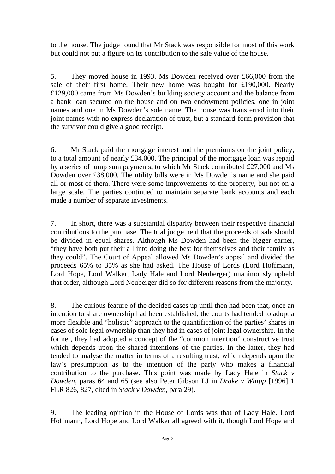to the house. The judge found that Mr Stack was responsible for most of this work but could not put a figure on its contribution to the sale value of the house.

5. They moved house in 1993. Ms Dowden received over £66,000 from the sale of their first home. Their new home was bought for £190,000. Nearly £129,000 came from Ms Dowden's building society account and the balance from a bank loan secured on the house and on two endowment policies, one in joint names and one in Ms Dowden's sole name. The house was transferred into their joint names with no express declaration of trust, but a standard-form provision that the survivor could give a good receipt.

6. Mr Stack paid the mortgage interest and the premiums on the joint policy, to a total amount of nearly £34,000. The principal of the mortgage loan was repaid by a series of lump sum payments, to which Mr Stack contributed £27,000 and Ms Dowden over £38,000. The utility bills were in Ms Dowden's name and she paid all or most of them. There were some improvements to the property, but not on a large scale. The parties continued to maintain separate bank accounts and each made a number of separate investments.

7. In short, there was a substantial disparity between their respective financial contributions to the purchase. The trial judge held that the proceeds of sale should be divided in equal shares. Although Ms Dowden had been the bigger earner, "they have both put their all into doing the best for themselves and their family as they could". The Court of Appeal allowed Ms Dowden's appeal and divided the proceeds 65% to 35% as she had asked. The House of Lords (Lord Hoffmann, Lord Hope, Lord Walker, Lady Hale and Lord Neuberger) unanimously upheld that order, although Lord Neuberger did so for different reasons from the majority.

8. The curious feature of the decided cases up until then had been that, once an intention to share ownership had been established, the courts had tended to adopt a more flexible and "holistic" approach to the quantification of the parties' shares in cases of sole legal ownership than they had in cases of joint legal ownership. In the former, they had adopted a concept of the "common intention" constructive trust which depends upon the shared intentions of the parties. In the latter, they had tended to analyse the matter in terms of a resulting trust, which depends upon the law's presumption as to the intention of the party who makes a financial contribution to the purchase. This point was made by Lady Hale in *Stack v Dowden*, paras 64 and 65 (see also Peter Gibson LJ in *Drake v Whipp* [1996] 1 FLR 826, 827, cited in *Stack v Dowden*, para 29).

9. The leading opinion in the House of Lords was that of Lady Hale. Lord Hoffmann, Lord Hope and Lord Walker all agreed with it, though Lord Hope and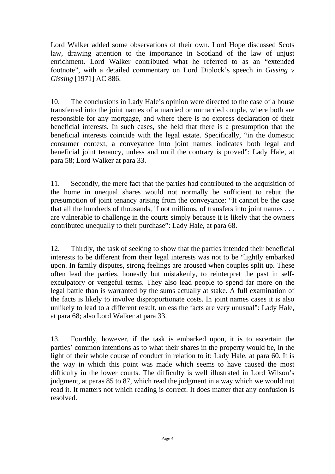Lord Walker added some observations of their own. Lord Hope discussed Scots law, drawing attention to the importance in Scotland of the law of unjust enrichment. Lord Walker contributed what he referred to as an "extended footnote", with a detailed commentary on Lord Diplock's speech in *Gissing v Gissing* [1971] AC 886.

10. The conclusions in Lady Hale's opinion were directed to the case of a house transferred into the joint names of a married or unmarried couple, where both are responsible for any mortgage, and where there is no express declaration of their beneficial interests. In such cases, she held that there is a presumption that the beneficial interests coincide with the legal estate. Specifically, "in the domestic consumer context, a conveyance into joint names indicates both legal and beneficial joint tenancy, unless and until the contrary is proved": Lady Hale, at para 58; Lord Walker at para 33.

11. Secondly, the mere fact that the parties had contributed to the acquisition of the home in unequal shares would not normally be sufficient to rebut the presumption of joint tenancy arising from the conveyance: "It cannot be the case that all the hundreds of thousands, if not millions, of transfers into joint names . . . are vulnerable to challenge in the courts simply because it is likely that the owners contributed unequally to their purchase": Lady Hale, at para 68.

12. Thirdly, the task of seeking to show that the parties intended their beneficial interests to be different from their legal interests was not to be "lightly embarked upon. In family disputes, strong feelings are aroused when couples split up. These often lead the parties, honestly but mistakenly, to reinterpret the past in selfexculpatory or vengeful terms. They also lead people to spend far more on the legal battle than is warranted by the sums actually at stake. A full examination of the facts is likely to involve disproportionate costs. In joint names cases it is also unlikely to lead to a different result, unless the facts are very unusual": Lady Hale, at para 68; also Lord Walker at para 33.

13. Fourthly, however, if the task is embarked upon, it is to ascertain the parties' common intentions as to what their shares in the property would be, in the light of their whole course of conduct in relation to it: Lady Hale, at para 60. It is the way in which this point was made which seems to have caused the most difficulty in the lower courts. The difficulty is well illustrated in Lord Wilson's judgment, at paras 85 to 87, which read the judgment in a way which we would not read it. It matters not which reading is correct. It does matter that any confusion is resolved.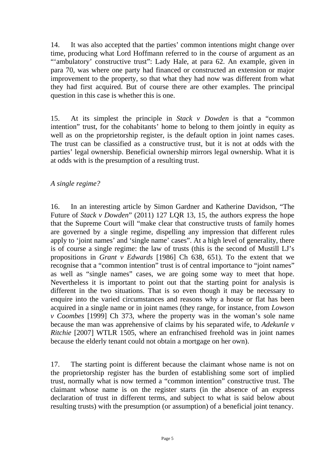14. It was also accepted that the parties' common intentions might change over time, producing what Lord Hoffmann referred to in the course of argument as an "'ambulatory' constructive trust": Lady Hale, at para 62. An example, given in para 70, was where one party had financed or constructed an extension or major improvement to the property, so that what they had now was different from what they had first acquired. But of course there are other examples. The principal question in this case is whether this is one.

15. At its simplest the principle in *Stack v Dowden* is that a "common intention" trust, for the cohabitants' home to belong to them jointly in equity as well as on the proprietorship register, is the default option in joint names cases. The trust can be classified as a constructive trust, but it is not at odds with the parties' legal ownership. Beneficial ownership mirrors legal ownership. What it is at odds with is the presumption of a resulting trust.

#### *A single regime?*

16. In an interesting article by Simon Gardner and Katherine Davidson, "The Future of *Stack v Dowden*" (2011) 127 LQR 13, 15, the authors express the hope that the Supreme Court will "make clear that constructive trusts of family homes are governed by a single regime, dispelling any impression that different rules apply to 'joint names' and 'single name' cases". At a high level of generality, there is of course a single regime: the law of trusts (this is the second of Mustill LJ's propositions in *Grant v Edwards* [1986] Ch 638, 651). To the extent that we recognise that a "common intention" trust is of central importance to "joint names" as well as "single names" cases, we are going some way to meet that hope. Nevertheless it is important to point out that the starting point for analysis is different in the two situations. That is so even though it may be necessary to enquire into the varied circumstances and reasons why a house or flat has been acquired in a single name or in joint names (they range, for instance, from *Lowson v Coombes* [1999] Ch 373, where the property was in the woman's sole name because the man was apprehensive of claims by his separated wife, to *Adekunle v Ritchie* [2007] WTLR 1505, where an enfranchised freehold was in joint names because the elderly tenant could not obtain a mortgage on her own).

17. The starting point is different because the claimant whose name is not on the proprietorship register has the burden of establishing some sort of implied trust, normally what is now termed a "common intention" constructive trust. The claimant whose name is on the register starts (in the absence of an express declaration of trust in different terms, and subject to what is said below about resulting trusts) with the presumption (or assumption) of a beneficial joint tenancy.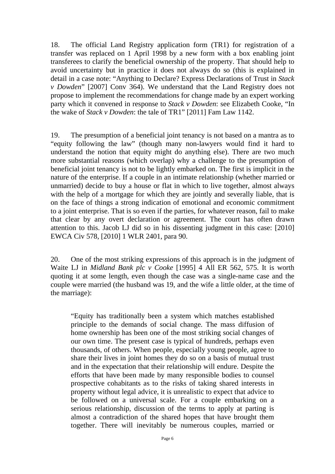18. The official Land Registry application form (TR1) for registration of a transfer was replaced on 1 April 1998 by a new form with a box enabling joint transferees to clarify the beneficial ownership of the property. That should help to avoid uncertainty but in practice it does not always do so (this is explained in detail in a case note: "Anything to Declare? Express Declarations of Trust in *Stack v Dowden*" [2007] Conv 364). We understand that the Land Registry does not propose to implement the recommendations for change made by an expert working party which it convened in response to *Stack v Dowden*: see Elizabeth Cooke, "In the wake of *Stack v Dowden*: the tale of TR1" [2011] Fam Law 1142.

19. The presumption of a beneficial joint tenancy is not based on a mantra as to "equity following the law" (though many non-lawyers would find it hard to understand the notion that equity might do anything else). There are two much more substantial reasons (which overlap) why a challenge to the presumption of beneficial joint tenancy is not to be lightly embarked on. The first is implicit in the nature of the enterprise. If a couple in an intimate relationship (whether married or unmarried) decide to buy a house or flat in which to live together, almost always with the help of a mortgage for which they are jointly and severally liable, that is on the face of things a strong indication of emotional and economic commitment to a joint enterprise. That is so even if the parties, for whatever reason, fail to make that clear by any overt declaration or agreement. The court has often drawn attention to this. Jacob LJ did so in his dissenting judgment in this case: [2010] EWCA Civ 578, [2010] 1 WLR 2401, para 90.

20. One of the most striking expressions of this approach is in the judgment of Waite LJ in *Midland Bank plc v Cooke* [1995] 4 All ER 562, 575. It is worth quoting it at some length, even though the case was a single-name case and the couple were married (the husband was 19, and the wife a little older, at the time of the marriage):

"Equity has traditionally been a system which matches established principle to the demands of social change. The mass diffusion of home ownership has been one of the most striking social changes of our own time. The present case is typical of hundreds, perhaps even thousands, of others. When people, especially young people, agree to share their lives in joint homes they do so on a basis of mutual trust and in the expectation that their relationship will endure. Despite the efforts that have been made by many responsible bodies to counsel prospective cohabitants as to the risks of taking shared interests in property without legal advice, it is unrealistic to expect that advice to be followed on a universal scale. For a couple embarking on a serious relationship, discussion of the terms to apply at parting is almost a contradiction of the shared hopes that have brought them together. There will inevitably be numerous couples, married or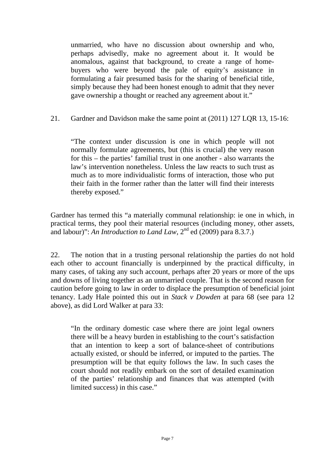unmarried, who have no discussion about ownership and who, perhaps advisedly, make no agreement about it. It would be anomalous, against that background, to create a range of homebuyers who were beyond the pale of equity's assistance in formulating a fair presumed basis for the sharing of beneficial title, simply because they had been honest enough to admit that they never gave ownership a thought or reached any agreement about it."

#### 21. Gardner and Davidson make the same point at (2011) 127 LQR 13, 15-16:

"The context under discussion is one in which people will not normally formulate agreements, but (this is crucial) the very reason for this – the parties' familial trust in one another - also warrants the law's intervention nonetheless. Unless the law reacts to such trust as much as to more individualistic forms of interaction, those who put their faith in the former rather than the latter will find their interests thereby exposed."

Gardner has termed this "a materially communal relationship: ie one in which, in practical terms, they pool their material resources (including money, other assets, and labour)": *An Introduction to Land Law*,  $2^{nd}$  ed (2009) para 8.3.7.)

22. The notion that in a trusting personal relationship the parties do not hold each other to account financially is underpinned by the practical difficulty, in many cases, of taking any such account, perhaps after 20 years or more of the ups and downs of living together as an unmarried couple. That is the second reason for caution before going to law in order to displace the presumption of beneficial joint tenancy. Lady Hale pointed this out in *Stack v Dowden* at para 68 (see para 12 above), as did Lord Walker at para 33:

"In the ordinary domestic case where there are joint legal owners there will be a heavy burden in establishing to the court's satisfaction that an intention to keep a sort of balance-sheet of contributions actually existed, or should be inferred, or imputed to the parties. The presumption will be that equity follows the law. In such cases the court should not readily embark on the sort of detailed examination of the parties' relationship and finances that was attempted (with limited success) in this case."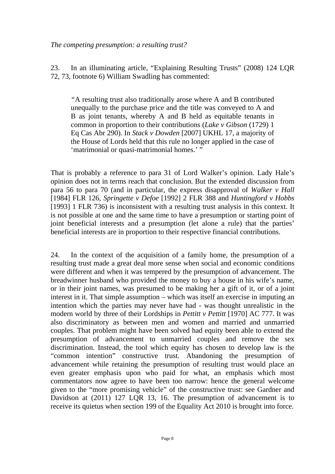23. In an illuminating article, "Explaining Resulting Trusts" (2008) 124 LQR 72, 73, footnote 6) William Swadling has commented:

*"*A resulting trust also traditionally arose where A and B contributed unequally to the purchase price and the title was conveyed to A and B as joint tenants, whereby A and B held as equitable tenants in common in proportion to their contributions (*Lake v Gibson* (1729) 1 Eq Cas Abr 290). In *Stack v Dowden* [2007] UKHL 17, a majority of the House of Lords held that this rule no longer applied in the case of 'matrimonial or quasi-matrimonial homes.' "

That is probably a reference to para 31 of Lord Walker's opinion. Lady Hale's opinion does not in terms reach that conclusion. But the extended discussion from para 56 to para 70 (and in particular, the express disapproval of *Walker v Hall* [1984] FLR 126, *Springette v Defoe* [1992] 2 FLR 388 and *Huntingford v Hobbs* [1993] 1 FLR 736) is inconsistent with a resulting trust analysis in this context. It is not possible at one and the same time to have a presumption or starting point of joint beneficial interests and a presumption (let alone a rule) that the parties' beneficial interests are in proportion to their respective financial contributions.

24. In the context of the acquisition of a family home, the presumption of a resulting trust made a great deal more sense when social and economic conditions were different and when it was tempered by the presumption of advancement. The breadwinner husband who provided the money to buy a house in his wife's name, or in their joint names, was presumed to be making her a gift of it, or of a joint interest in it. That simple assumption – which was itself an exercise in imputing an intention which the parties may never have had - was thought unrealistic in the modern world by three of their Lordships in *Pettitt v Pettitt* [1970] AC 777. It was also discriminatory as between men and women and married and unmarried couples. That problem might have been solved had equity been able to extend the presumption of advancement to unmarried couples and remove the sex discrimination. Instead, the tool which equity has chosen to develop law is the "common intention" constructive trust. Abandoning the presumption of advancement while retaining the presumption of resulting trust would place an even greater emphasis upon who paid for what, an emphasis which most commentators now agree to have been too narrow: hence the general welcome given to the "more promising vehicle" of the constructive trust: see Gardner and Davidson at (2011) 127 LQR 13, 16. The presumption of advancement is to receive its quietus when section 199 of the Equality Act 2010 is brought into force.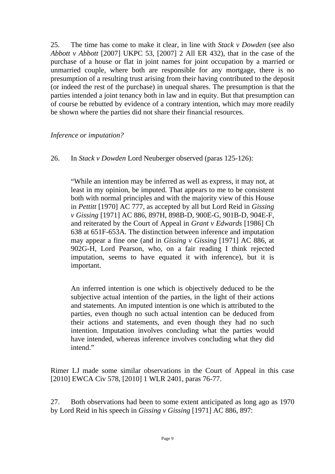25. The time has come to make it clear, in line with *Stack v Dowden* (see also *Abbott v Abbott* [2007] UKPC 53, [2007] 2 All ER 432), that in the case of the purchase of a house or flat in joint names for joint occupation by a married or unmarried couple, where both are responsible for any mortgage, there is no presumption of a resulting trust arising from their having contributed to the deposit (or indeed the rest of the purchase) in unequal shares. The presumption is that the parties intended a joint tenancy both in law and in equity. But that presumption can of course be rebutted by evidence of a contrary intention, which may more readily be shown where the parties did not share their financial resources.

#### *Inference or imputation?*

26. In *Stack v Dowden* Lord Neuberger observed (paras 125-126):

"While an intention may be inferred as well as express, it may not, at least in my opinion, be imputed. That appears to me to be consistent both with normal principles and with the majority view of this House in *Pettitt* [1970] AC 777*,* as accepted by all but Lord Reid in *Gissing v Gissing* [1971] AC 886, 897H, 898B-D, 900E-G, 901B-D, 904E-F, and reiterated by the Court of Appeal in *Grant v Edwards* [1986] Ch 638 at 651F-653A. The distinction between inference and imputation may appear a fine one (and in *Gissing v Gissing* [1971] AC 886, at 902G-H, Lord Pearson, who, on a fair reading I think rejected imputation, seems to have equated it with inference), but it is important.

An inferred intention is one which is objectively deduced to be the subjective actual intention of the parties, in the light of their actions and statements. An imputed intention is one which is attributed to the parties, even though no such actual intention can be deduced from their actions and statements, and even though they had no such intention. Imputation involves concluding what the parties would have intended, whereas inference involves concluding what they did intend."

Rimer LJ made some similar observations in the Court of Appeal in this case [2010] EWCA Civ 578, [2010] 1 WLR 2401, paras 76-77.

27. Both observations had been to some extent anticipated as long ago as 1970 by Lord Reid in his speech in *Gissing v Gissing* [1971] AC 886, 897: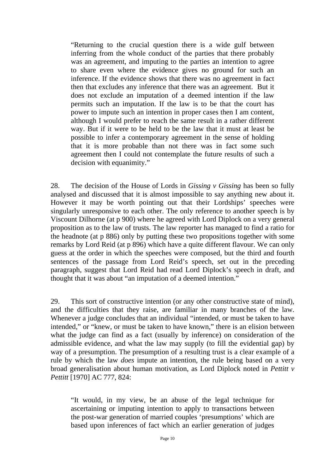"Returning to the crucial question there is a wide gulf between inferring from the whole conduct of the parties that there probably was an agreement, and imputing to the parties an intention to agree to share even where the evidence gives no ground for such an inference. If the evidence shows that there was no agreement in fact then that excludes any inference that there was an agreement. But it does not exclude an imputation of a deemed intention if the law permits such an imputation. If the law is to be that the court has power to impute such an intention in proper cases then I am content, although I would prefer to reach the same result in a rather different way. But if it were to be held to be the law that it must at least be possible to infer a contemporary agreement in the sense of holding that it is more probable than not there was in fact some such agreement then I could not contemplate the future results of such a decision with equanimity."

28. The decision of the House of Lords in *Gissing v Gissing* has been so fully analysed and discussed that it is almost impossible to say anything new about it. However it may be worth pointing out that their Lordships' speeches were singularly unresponsive to each other. The only reference to another speech is by Viscount Dilhorne (at p 900) where he agreed with Lord Diplock on a very general proposition as to the law of trusts. The law reporter has managed to find a ratio for the headnote (at p 886) only by putting these two propositions together with some remarks by Lord Reid (at p 896) which have a quite different flavour. We can only guess at the order in which the speeches were composed, but the third and fourth sentences of the passage from Lord Reid's speech, set out in the preceding paragraph, suggest that Lord Reid had read Lord Diplock's speech in draft, and thought that it was about "an imputation of a deemed intention."

29. This sort of constructive intention (or any other constructive state of mind), and the difficulties that they raise, are familiar in many branches of the law. Whenever a judge concludes that an individual "intended, or must be taken to have intended," or "knew, or must be taken to have known," there is an elision between what the judge can find as a fact (usually by inference) on consideration of the admissible evidence, and what the law may supply (to fill the evidential gap) by way of a presumption. The presumption of a resulting trust is a clear example of a rule by which the law *does* impute an intention, the rule being based on a very broad generalisation about human motivation, as Lord Diplock noted in *Pettitt v Pettitt* [1970] AC 777, 824:

"It would, in my view, be an abuse of the legal technique for ascertaining or imputing intention to apply to transactions between the post-war generation of married couples 'presumptions' which are based upon inferences of fact which an earlier generation of judges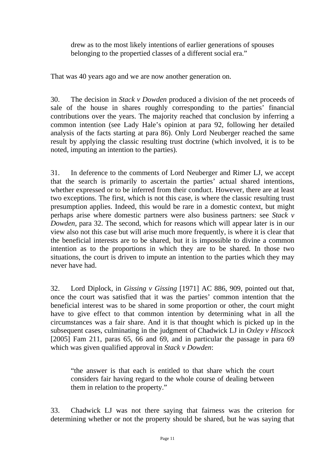drew as to the most likely intentions of earlier generations of spouses belonging to the propertied classes of a different social era."

That was 40 years ago and we are now another generation on.

30. The decision in *Stack v Dowden* produced a division of the net proceeds of sale of the house in shares roughly corresponding to the parties' financial contributions over the years. The majority reached that conclusion by inferring a common intention (see Lady Hale's opinion at para 92, following her detailed analysis of the facts starting at para 86). Only Lord Neuberger reached the same result by applying the classic resulting trust doctrine (which involved, it is to be noted, imputing an intention to the parties).

31. In deference to the comments of Lord Neuberger and Rimer LJ, we accept that the search is primarily to ascertain the parties' actual shared intentions, whether expressed or to be inferred from their conduct. However, there are at least two exceptions. The first, which is not this case, is where the classic resulting trust presumption applies. Indeed, this would be rare in a domestic context, but might perhaps arise where domestic partners were also business partners: see *Stack v Dowden*, para 32. The second, which for reasons which will appear later is in our view also not this case but will arise much more frequently, is where it is clear that the beneficial interests are to be shared, but it is impossible to divine a common intention as to the proportions in which they are to be shared. In those two situations, the court is driven to impute an intention to the parties which they may never have had.

32. Lord Diplock, in *Gissing v Gissing* [1971] AC 886, 909, pointed out that, once the court was satisfied that it was the parties' common intention that the beneficial interest was to be shared in some proportion or other, the court might have to give effect to that common intention by determining what in all the circumstances was a fair share. And it is that thought which is picked up in the subsequent cases, culminating in the judgment of Chadwick LJ in *Oxley v Hiscock*  [2005] Fam 211, paras 65, 66 and 69, and in particular the passage in para 69 which was given qualified approval in *Stack v Dowden*:

"the answer is that each is entitled to that share which the court considers fair having regard to the whole course of dealing between them in relation to the property."

33. Chadwick LJ was not there saying that fairness was the criterion for determining whether or not the property should be shared, but he was saying that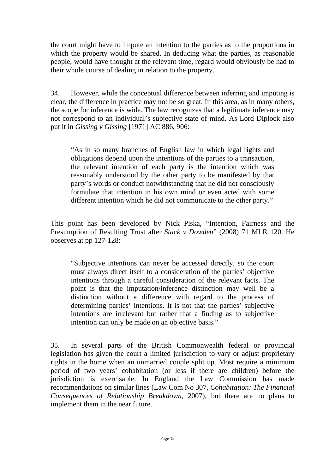the court might have to impute an intention to the parties as to the proportions in which the property would be shared. In deducing what the parties, as reasonable people, would have thought at the relevant time, regard would obviously be had to their whole course of dealing in relation to the property.

34. However, while the conceptual difference between inferring and imputing is clear, the difference in practice may not be so great. In this area, as in many others, the scope for inference is wide. The law recognizes that a legitimate inference may not correspond to an individual's subjective state of mind. As Lord Diplock also put it in *Gissing v Gissing* [1971] AC 886, 906:

"As in so many branches of English law in which legal rights and obligations depend upon the intentions of the parties to a transaction, the relevant intention of each party is the intention which was reasonably understood by the other party to be manifested by that party's words or conduct notwithstanding that he did not consciously formulate that intention in his own mind or even acted with some different intention which he did not communicate to the other party."

This point has been developed by Nick Piska, "Intention, Fairness and the Presumption of Resulting Trust after *Stack v Dowden*" (2008) 71 MLR 120. He observes at pp 127-128:

"Subjective intentions can never be accessed directly, so the court must always direct itself to a consideration of the parties' objective intentions through a careful consideration of the relevant facts. The point is that the imputation/inference distinction may well be a distinction without a difference with regard to the process of determining parties' intentions. It is not that the parties' subjective intentions are irrelevant but rather that a finding as to subjective intention can only be made on an objective basis."

35. In several parts of the British Commonwealth federal or provincial legislation has given the court a limited jurisdiction to vary or adjust proprietary rights in the home when an unmarried couple split up. Most require a minimum period of two years' cohabitation (or less if there are children) before the jurisdiction is exercisable. In England the Law Commission has made recommendations on similar lines (Law Com No 307, *Cohabitation: The Financial Consequences of Relationship Breakdown*, 2007), but there are no plans to implement them in the near future.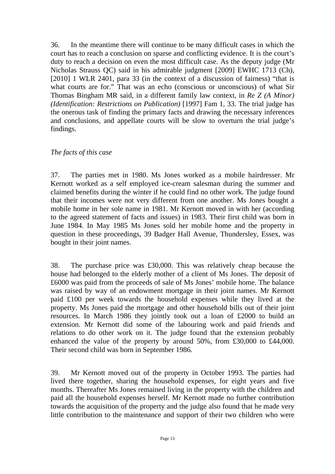36. In the meantime there will continue to be many difficult cases in which the court has to reach a conclusion on sparse and conflicting evidence. It is the court's duty to reach a decision on even the most difficult case. As the deputy judge (Mr Nicholas Strauss QC) said in his admirable judgment [2009] EWHC 1713 (Ch), [2010] 1 WLR 2401, para 33 (in the context of a discussion of fairness) "that is what courts are for." That was an echo (conscious or unconscious) of what Sir Thomas Bingham MR said, in a different family law context, in *Re Z (A Minor) (Identification: Restrictions on Publication)* [1997] Fam 1, 33. The trial judge has the onerous task of finding the primary facts and drawing the necessary inferences and conclusions, and appellate courts will be slow to overturn the trial judge's findings.

#### *The facts of this case*

37. The parties met in 1980. Ms Jones worked as a mobile hairdresser. Mr Kernott worked as a self employed ice-cream salesman during the summer and claimed benefits during the winter if he could find no other work. The judge found that their incomes were not very different from one another. Ms Jones bought a mobile home in her sole name in 1981. Mr Kernott moved in with her (according to the agreed statement of facts and issues) in 1983. Their first child was born in June 1984. In May 1985 Ms Jones sold her mobile home and the property in question in these proceedings, 39 Badger Hall Avenue, Thundersley, Essex, was bought in their joint names.

38. The purchase price was £30,000. This was relatively cheap because the house had belonged to the elderly mother of a client of Ms Jones. The deposit of £6000 was paid from the proceeds of sale of Ms Jones' mobile home. The balance was raised by way of an endowment mortgage in their joint names. Mr Kernott paid £100 per week towards the household expenses while they lived at the property. Ms Jones paid the mortgage and other household bills out of their joint resources. In March 1986 they jointly took out a loan of £2000 to build an extension. Mr Kernott did some of the labouring work and paid friends and relations to do other work on it. The judge found that the extension probably enhanced the value of the property by around 50%, from £30,000 to £44,000. Their second child was born in September 1986.

39. Mr Kernott moved out of the property in October 1993. The parties had lived there together, sharing the household expenses, for eight years and five months. Thereafter Ms Jones remained living in the property with the children and paid all the household expenses herself. Mr Kernott made no further contribution towards the acquisition of the property and the judge also found that he made very little contribution to the maintenance and support of their two children who were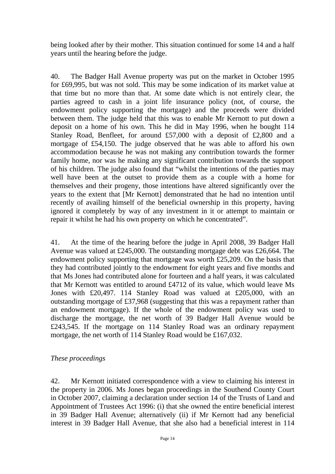being looked after by their mother. This situation continued for some 14 and a half years until the hearing before the judge.

40. The Badger Hall Avenue property was put on the market in October 1995 for £69,995, but was not sold. This may be some indication of its market value at that time but no more than that. At some date which is not entirely clear, the parties agreed to cash in a joint life insurance policy (not, of course, the endowment policy supporting the mortgage) and the proceeds were divided between them. The judge held that this was to enable Mr Kernott to put down a deposit on a home of his own. This he did in May 1996, when he bought 114 Stanley Road, Benfleet, for around £57,000 with a deposit of £2,800 and a mortgage of £54,150. The judge observed that he was able to afford his own accommodation because he was not making any contribution towards the former family home, nor was he making any significant contribution towards the support of his children. The judge also found that "whilst the intentions of the parties may well have been at the outset to provide them as a couple with a home for themselves and their progeny, those intentions have altered significantly over the years to the extent that [Mr Kernott] demonstrated that he had no intention until recently of availing himself of the beneficial ownership in this property, having ignored it completely by way of any investment in it or attempt to maintain or repair it whilst he had his own property on which he concentrated".

41. At the time of the hearing before the judge in April 2008, 39 Badger Hall Avenue was valued at £245,000. The outstanding mortgage debt was £26,664. The endowment policy supporting that mortgage was worth £25,209. On the basis that they had contributed jointly to the endowment for eight years and five months and that Ms Jones had contributed alone for fourteen and a half years, it was calculated that Mr Kernott was entitled to around £4712 of its value, which would leave Ms Jones with £20,497. 114 Stanley Road was valued at £205,000, with an outstanding mortgage of £37,968 (suggesting that this was a repayment rather than an endowment mortgage). If the whole of the endowment policy was used to discharge the mortgage, the net worth of 39 Badger Hall Avenue would be £243,545. If the mortgage on 114 Stanley Road was an ordinary repayment mortgage, the net worth of 114 Stanley Road would be £167,032.

#### *These proceedings*

42. Mr Kernott initiated correspondence with a view to claiming his interest in the property in 2006. Ms Jones began proceedings in the Southend County Court in October 2007, claiming a declaration under section 14 of the Trusts of Land and Appointment of Trustees Act 1996: (i) that she owned the entire beneficial interest in 39 Badger Hall Avenue; alternatively (ii) if Mr Kernott had any beneficial interest in 39 Badger Hall Avenue, that she also had a beneficial interest in 114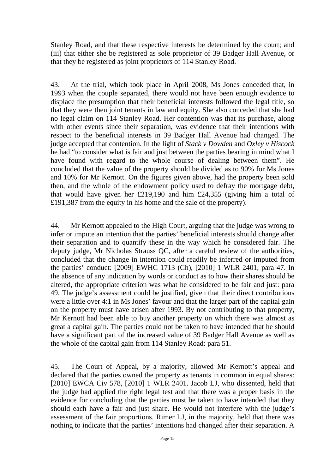Stanley Road, and that these respective interests be determined by the court; and (iii) that either she be registered as sole proprietor of 39 Badger Hall Avenue, or that they be registered as joint proprietors of 114 Stanley Road.

43. At the trial, which took place in April 2008, Ms Jones conceded that, in 1993 when the couple separated, there would not have been enough evidence to displace the presumption that their beneficial interests followed the legal title, so that they were then joint tenants in law and equity. She also conceded that she had no legal claim on 114 Stanley Road. Her contention was that its purchase, along with other events since their separation, was evidence that their intentions with respect to the beneficial interests in 39 Badger Hall Avenue had changed. The judge accepted that contention. In the light of *Stack v Dowden* and *Oxley v Hiscock* he had "to consider what is fair and just between the parties bearing in mind what I have found with regard to the whole course of dealing between them". He concluded that the value of the property should be divided as to 90% for Ms Jones and 10% for Mr Kernott. On the figures given above, had the property been sold then, and the whole of the endowment policy used to defray the mortgage debt, that would have given her £219,190 and him £24,355 (giving him a total of £191,387 from the equity in his home and the sale of the property).

44. Mr Kernott appealed to the High Court, arguing that the judge was wrong to infer or impute an intention that the parties' beneficial interests should change after their separation and to quantify these in the way which he considered fair. The deputy judge, Mr Nicholas Strauss QC, after a careful review of the authorities, concluded that the change in intention could readily be inferred or imputed from the parties' conduct: [2009] EWHC 1713 (Ch), [2010] 1 WLR 2401, para 47. In the absence of any indication by words or conduct as to how their shares should be altered, the appropriate criterion was what he considered to be fair and just: para 49. The judge's assessment could be justified, given that their direct contributions were a little over 4:1 in Ms Jones' favour and that the larger part of the capital gain on the property must have arisen after 1993. By not contributing to that property, Mr Kernott had been able to buy another property on which there was almost as great a capital gain. The parties could not be taken to have intended that he should have a significant part of the increased value of 39 Badger Hall Avenue as well as the whole of the capital gain from 114 Stanley Road: para 51.

45. The Court of Appeal, by a majority, allowed Mr Kernott's appeal and declared that the parties owned the property as tenants in common in equal shares: [2010] EWCA Civ 578, [2010] 1 WLR 2401. Jacob LJ, who dissented, held that the judge had applied the right legal test and that there was a proper basis in the evidence for concluding that the parties must be taken to have intended that they should each have a fair and just share. He would not interfere with the judge's assessment of the fair proportions. Rimer LJ, in the majority, held that there was nothing to indicate that the parties' intentions had changed after their separation. A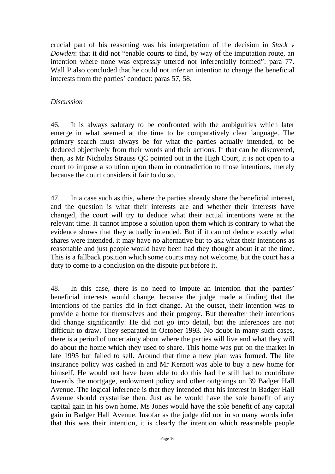crucial part of his reasoning was his interpretation of the decision in *Stack v Dowden*: that it did not "enable courts to find, by way of the imputation route, an intention where none was expressly uttered nor inferentially formed": para 77. Wall P also concluded that he could not infer an intention to change the beneficial interests from the parties' conduct: paras 57, 58.

#### *Discussion*

46. It is always salutary to be confronted with the ambiguities which later emerge in what seemed at the time to be comparatively clear language. The primary search must always be for what the parties actually intended, to be deduced objectively from their words and their actions. If that can be discovered, then, as Mr Nicholas Strauss QC pointed out in the High Court, it is not open to a court to impose a solution upon them in contradiction to those intentions, merely because the court considers it fair to do so.

47. In a case such as this, where the parties already share the beneficial interest, and the question is what their interests are and whether their interests have changed, the court will try to deduce what their actual intentions were at the relevant time. It cannot impose a solution upon them which is contrary to what the evidence shows that they actually intended. But if it cannot deduce exactly what shares were intended, it may have no alternative but to ask what their intentions as reasonable and just people would have been had they thought about it at the time. This is a fallback position which some courts may not welcome, but the court has a duty to come to a conclusion on the dispute put before it.

48. In this case, there is no need to impute an intention that the parties' beneficial interests would change, because the judge made a finding that the intentions of the parties did in fact change. At the outset, their intention was to provide a home for themselves and their progeny. But thereafter their intentions did change significantly. He did not go into detail, but the inferences are not difficult to draw. They separated in October 1993. No doubt in many such cases, there is a period of uncertainty about where the parties will live and what they will do about the home which they used to share. This home was put on the market in late 1995 but failed to sell. Around that time a new plan was formed. The life insurance policy was cashed in and Mr Kernott was able to buy a new home for himself. He would not have been able to do this had he still had to contribute towards the mortgage, endowment policy and other outgoings on 39 Badger Hall Avenue. The logical inference is that they intended that his interest in Badger Hall Avenue should crystallise then. Just as he would have the sole benefit of any capital gain in his own home, Ms Jones would have the sole benefit of any capital gain in Badger Hall Avenue. Insofar as the judge did not in so many words infer that this was their intention, it is clearly the intention which reasonable people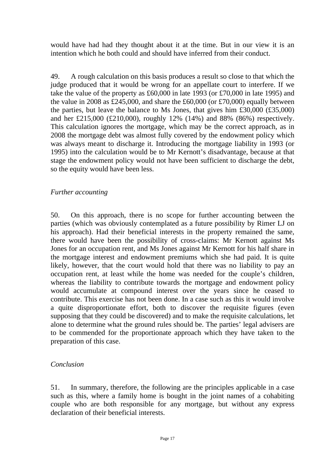would have had had they thought about it at the time. But in our view it is an intention which he both could and should have inferred from their conduct.

49. A rough calculation on this basis produces a result so close to that which the judge produced that it would be wrong for an appellate court to interfere. If we take the value of the property as £60,000 in late 1993 (or £70,000 in late 1995) and the value in 2008 as £245,000, and share the £60,000 (or £70,000) equally between the parties, but leave the balance to Ms Jones, that gives him £30,000 (£35,000) and her £215,000 (£210,000), roughly 12% (14%) and 88% (86%) respectively. This calculation ignores the mortgage, which may be the correct approach, as in 2008 the mortgage debt was almost fully covered by the endowment policy which was always meant to discharge it. Introducing the mortgage liability in 1993 (or 1995) into the calculation would be to Mr Kernott's disadvantage, because at that stage the endowment policy would not have been sufficient to discharge the debt, so the equity would have been less.

#### *Further accounting*

50. On this approach, there is no scope for further accounting between the parties (which was obviously contemplated as a future possibility by Rimer LJ on his approach). Had their beneficial interests in the property remained the same, there would have been the possibility of cross-claims: Mr Kernott against Ms Jones for an occupation rent, and Ms Jones against Mr Kernott for his half share in the mortgage interest and endowment premiums which she had paid. It is quite likely, however, that the court would hold that there was no liability to pay an occupation rent, at least while the home was needed for the couple's children, whereas the liability to contribute towards the mortgage and endowment policy would accumulate at compound interest over the years since he ceased to contribute. This exercise has not been done. In a case such as this it would involve a quite disproportionate effort, both to discover the requisite figures (even supposing that they could be discovered) and to make the requisite calculations, let alone to determine what the ground rules should be. The parties' legal advisers are to be commended for the proportionate approach which they have taken to the preparation of this case.

#### *Conclusion*

51. In summary, therefore, the following are the principles applicable in a case such as this, where a family home is bought in the joint names of a cohabiting couple who are both responsible for any mortgage, but without any express declaration of their beneficial interests.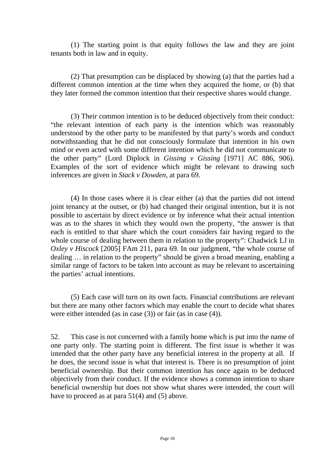(1) The starting point is that equity follows the law and they are joint tenants both in law and in equity.

(2) That presumption can be displaced by showing (a) that the parties had a different common intention at the time when they acquired the home, or (b) that they later formed the common intention that their respective shares would change.

(3) Their common intention is to be deduced objectively from their conduct: "the relevant intention of each party is the intention which was reasonably understood by the other party to be manifested by that party's words and conduct notwithstanding that he did not consciously formulate that intention in his own mind or even acted with some different intention which he did not communicate to the other party" (Lord Diplock in *Gissing v Gissing* [1971] AC 886, 906). Examples of the sort of evidence which might be relevant to drawing such inferences are given in *Stack v Dowden*, at para 69.

(4) In those cases where it is clear either (a) that the parties did not intend joint tenancy at the outset, or (b) had changed their original intention, but it is not possible to ascertain by direct evidence or by inference what their actual intention was as to the shares in which they would own the property, "the answer is that each is entitled to that share which the court considers fair having regard to the whole course of dealing between them in relation to the property": Chadwick LJ in *Oxley v Hiscock* [2005] FAm 211, para 69. In our judgment, "the whole course of dealing … in relation to the property" should be given a broad meaning, enabling a similar range of factors to be taken into account as may be relevant to ascertaining the parties' actual intentions.

(5) Each case will turn on its own facts. Financial contributions are relevant but there are many other factors which may enable the court to decide what shares were either intended (as in case (3)) or fair (as in case (4)).

52. This case is not concerned with a family home which is put into the name of one party only. The starting point is different. The first issue is whether it was intended that the other party have any beneficial interest in the property at all. If he does, the second issue is what that interest is. There is no presumption of joint beneficial ownership. But their common intention has once again to be deduced objectively from their conduct. If the evidence shows a common intention to share beneficial ownership but does not show what shares were intended, the court will have to proceed as at para 51(4) and (5) above.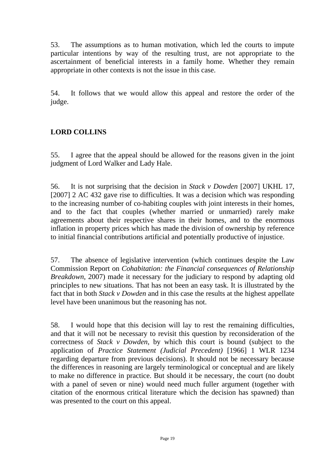53. The assumptions as to human motivation, which led the courts to impute particular intentions by way of the resulting trust, are not appropriate to the ascertainment of beneficial interests in a family home. Whether they remain appropriate in other contexts is not the issue in this case.

54. It follows that we would allow this appeal and restore the order of the judge.

## **LORD COLLINS**

55. I agree that the appeal should be allowed for the reasons given in the joint judgment of Lord Walker and Lady Hale.

56. It is not surprising that the decision in *Stack v Dowden* [2007] UKHL 17, [2007] 2 AC 432 gave rise to difficulties. It was a decision which was responding to the increasing number of co-habiting couples with joint interests in their homes, and to the fact that couples (whether married or unmarried) rarely make agreements about their respective shares in their homes, and to the enormous inflation in property prices which has made the division of ownership by reference to initial financial contributions artificial and potentially productive of injustice.

57. The absence of legislative intervention (which continues despite the Law Commission Report on *Cohabitation: the Financial consequences of Relationship Breakdown*, 2007) made it necessary for the judiciary to respond by adapting old principles to new situations. That has not been an easy task. It is illustrated by the fact that in both *Stack v Dowden* and in this case the results at the highest appellate level have been unanimous but the reasoning has not.

58. I would hope that this decision will lay to rest the remaining difficulties, and that it will not be necessary to revisit this question by reconsideration of the correctness of *Stack v Dowden*, by which this court is bound (subject to the application of *Practice Statement (Judicial Precedent)* [1966] 1 WLR 1234 regarding departure from previous decisions). It should not be necessary because the differences in reasoning are largely terminological or conceptual and are likely to make no difference in practice. But should it be necessary, the court (no doubt with a panel of seven or nine) would need much fuller argument (together with citation of the enormous critical literature which the decision has spawned) than was presented to the court on this appeal.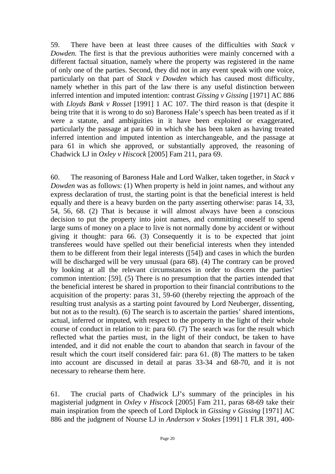59. There have been at least three causes of the difficulties with *Stack v Dowden.* The first is that the previous authorities were mainly concerned with a different factual situation, namely where the property was registered in the name of only one of the parties. Second, they did not in any event speak with one voice, particularly on that part of *Stack v Dowden* which has caused most difficulty, namely whether in this part of the law there is any useful distinction between inferred intention and imputed intention: contrast *Gissing v Gissing* [1971] AC 886 with *Lloyds Bank v Rosset* [1991] 1 AC 107. The third reason is that (despite it being trite that it is wrong to do so) Baroness Hale's speech has been treated as if it were a statute, and ambiguities in it have been exploited or exaggerated, particularly the passage at para 60 in which she has been taken as having treated inferred intention and imputed intention as interchangeable, and the passage at para 61 in which she approved, or substantially approved, the reasoning of Chadwick LJ in *Oxley v Hiscock* [2005] Fam 211, para 69.

60. The reasoning of Baroness Hale and Lord Walker, taken together, in *Stack v Dowden* was as follows: (1) When property is held in joint names, and without any express declaration of trust, the starting point is that the beneficial interest is held equally and there is a heavy burden on the party asserting otherwise: paras 14, 33, 54, 56, 68. (2) That is because it will almost always have been a conscious decision to put the property into joint names, and committing oneself to spend large sums of money on a place to live is not normally done by accident or without giving it thought: para 66. (3) Consequently it is to be expected that joint transferees would have spelled out their beneficial interests when they intended them to be different from their legal interests ([54]) and cases in which the burden will be discharged will be very unusual (para 68). (4) The contrary can be proved by looking at all the relevant circumstances in order to discern the parties' common intention: [59]. (5) There is no presumption that the parties intended that the beneficial interest be shared in proportion to their financial contributions to the acquisition of the property: paras 31, 59-60 (thereby rejecting the approach of the resulting trust analysis as a starting point favoured by Lord Neuberger, dissenting, but not as to the result). (6) The search is to ascertain the parties' shared intentions, actual, inferred or imputed, with respect to the property in the light of their whole course of conduct in relation to it: para 60. (7) The search was for the result which reflected what the parties must, in the light of their conduct, be taken to have intended, and it did not enable the court to abandon that search in favour of the result which the court itself considered fair: para 61. (8) The matters to be taken into account are discussed in detail at paras 33-34 and 68-70, and it is not necessary to rehearse them here.

61. The crucial parts of Chadwick LJ's summary of the principles in his magisterial judgment in *Oxley v Hiscock* [2005] Fam 211, paras 68-69 take their main inspiration from the speech of Lord Diplock in *Gissing v Gissing* [1971] AC 886 and the judgment of Nourse LJ in *Anderson v Stokes* [1991] 1 FLR 391, 400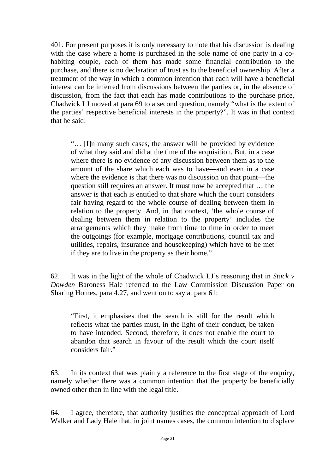401. For present purposes it is only necessary to note that his discussion is dealing with the case where a home is purchased in the sole name of one party in a cohabiting couple, each of them has made some financial contribution to the purchase, and there is no declaration of trust as to the beneficial ownership. After a treatment of the way in which a common intention that each will have a beneficial interest can be inferred from discussions between the parties or, in the absence of discussion, from the fact that each has made contributions to the purchase price, Chadwick LJ moved at para 69 to a second question, namely "what is the extent of the parties' respective beneficial interests in the property?". It was in that context that he said:

"… [I]n many such cases, the answer will be provided by evidence of what they said and did at the time of the acquisition. But, in a case where there is no evidence of any discussion between them as to the amount of the share which each was to have—and even in a case where the evidence is that there was no discussion on that point—the question still requires an answer. It must now be accepted that … the answer is that each is entitled to that share which the court considers fair having regard to the whole course of dealing between them in relation to the property. And, in that context, 'the whole course of dealing between them in relation to the property' includes the arrangements which they make from time to time in order to meet the outgoings (for example, mortgage contributions, council tax and utilities, repairs, insurance and housekeeping) which have to be met if they are to live in the property as their home."

62. It was in the light of the whole of Chadwick LJ's reasoning that in *Stack v Dowden* Baroness Hale referred to the Law Commission Discussion Paper on Sharing Homes, para 4.27, and went on to say at para 61:

"First, it emphasises that the search is still for the result which reflects what the parties must, in the light of their conduct, be taken to have intended. Second, therefore, it does not enable the court to abandon that search in favour of the result which the court itself considers fair."

63. In its context that was plainly a reference to the first stage of the enquiry, namely whether there was a common intention that the property be beneficially owned other than in line with the legal title.

64. I agree, therefore, that authority justifies the conceptual approach of Lord Walker and Lady Hale that, in joint names cases, the common intention to displace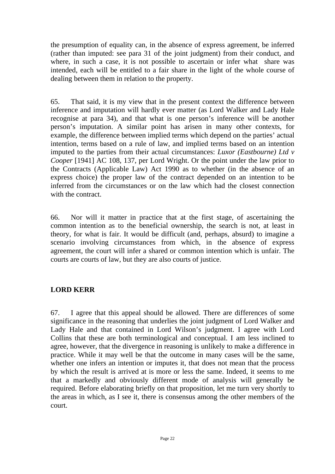the presumption of equality can, in the absence of express agreement, be inferred (rather than imputed: see para 31 of the joint judgment) from their conduct, and where, in such a case, it is not possible to ascertain or infer what share was intended, each will be entitled to a fair share in the light of the whole course of dealing between them in relation to the property.

65. That said, it is my view that in the present context the difference between inference and imputation will hardly ever matter (as Lord Walker and Lady Hale recognise at para 34), and that what is one person's inference will be another person's imputation. A similar point has arisen in many other contexts, for example, the difference between implied terms which depend on the parties' actual intention, terms based on a rule of law, and implied terms based on an intention imputed to the parties from their actual circumstances: *Luxor (Eastbourne) Ltd v Cooper* [1941] AC 108, 137, per Lord Wright. Or the point under the law prior to the Contracts (Applicable Law) Act 1990 as to whether (in the absence of an express choice) the proper law of the contract depended on an intention to be inferred from the circumstances or on the law which had the closest connection with the contract.

66. Nor will it matter in practice that at the first stage, of ascertaining the common intention as to the beneficial ownership, the search is not, at least in theory, for what is fair. It would be difficult (and, perhaps, absurd) to imagine a scenario involving circumstances from which, in the absence of express agreement, the court will infer a shared or common intention which is unfair. The courts are courts of law, but they are also courts of justice.

### **LORD KERR**

67. I agree that this appeal should be allowed. There are differences of some significance in the reasoning that underlies the joint judgment of Lord Walker and Lady Hale and that contained in Lord Wilson's judgment. I agree with Lord Collins that these are both terminological and conceptual. I am less inclined to agree, however, that the divergence in reasoning is unlikely to make a difference in practice. While it may well be that the outcome in many cases will be the same, whether one infers an intention or imputes it, that does not mean that the process by which the result is arrived at is more or less the same. Indeed, it seems to me that a markedly and obviously different mode of analysis will generally be required. Before elaborating briefly on that proposition, let me turn very shortly to the areas in which, as I see it, there is consensus among the other members of the court.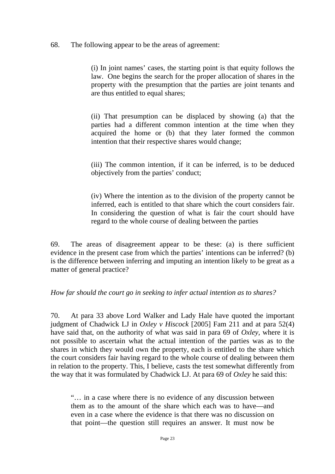68. The following appear to be the areas of agreement:

(i) In joint names' cases, the starting point is that equity follows the law. One begins the search for the proper allocation of shares in the property with the presumption that the parties are joint tenants and are thus entitled to equal shares;

(ii) That presumption can be displaced by showing (a) that the parties had a different common intention at the time when they acquired the home or (b) that they later formed the common intention that their respective shares would change;

(iii) The common intention, if it can be inferred, is to be deduced objectively from the parties' conduct;

(iv) Where the intention as to the division of the property cannot be inferred, each is entitled to that share which the court considers fair. In considering the question of what is fair the court should have regard to the whole course of dealing between the parties

69. The areas of disagreement appear to be these: (a) is there sufficient evidence in the present case from which the parties' intentions can be inferred? (b) is the difference between inferring and imputing an intention likely to be great as a matter of general practice?

#### *How far should the court go in seeking to infer actual intention as to shares?*

70. At para 33 above Lord Walker and Lady Hale have quoted the important judgment of Chadwick LJ in *Oxley v Hiscock* [2005] Fam 211 and at para 52(4) have said that, on the authority of what was said in para 69 of *Oxley,* where it is not possible to ascertain what the actual intention of the parties was as to the shares in which they would own the property, each is entitled to the share which the court considers fair having regard to the whole course of dealing between them in relation to the property. This, I believe, casts the test somewhat differently from the way that it was formulated by Chadwick LJ. At para 69 of *Oxley* he said this:

"… in a case where there is no evidence of any discussion between them as to the amount of the share which each was to have—and even in a case where the evidence is that there was no discussion on that point—the question still requires an answer. It must now be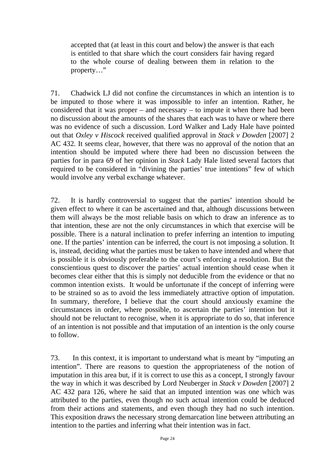accepted that (at least in this court and below) the answer is that each is entitled to that share which the court considers fair having regard to the whole course of dealing between them in relation to the property…"

71. Chadwick LJ did not confine the circumstances in which an intention is to be imputed to those where it was impossible to infer an intention. Rather, he considered that it was proper – and necessary – to impute it when there had been no discussion about the amounts of the shares that each was to have or where there was no evidence of such a discussion. Lord Walker and Lady Hale have pointed out that *Oxley v Hiscock* received qualified approval in *Stack v Dowden* [2007] 2 AC 432*.* It seems clear, however, that there was no approval of the notion that an intention should be imputed where there had been no discussion between the parties for in para 69 of her opinion in *Stack* Lady Hale listed several factors that required to be considered in "divining the parties' true intentions" few of which would involve any verbal exchange whatever.

72. It is hardly controversial to suggest that the parties' intention should be given effect to where it can be ascertained and that, although discussions between them will always be the most reliable basis on which to draw an inference as to that intention, these are not the only circumstances in which that exercise will be possible. There is a natural inclination to prefer inferring an intention to imputing one. If the parties' intention can be inferred, the court is not imposing a solution. It is, instead, deciding what the parties must be taken to have intended and where that is possible it is obviously preferable to the court's enforcing a resolution. But the conscientious quest to discover the parties' actual intention should cease when it becomes clear either that this is simply not deducible from the evidence or that no common intention exists. It would be unfortunate if the concept of inferring were to be strained so as to avoid the less immediately attractive option of imputation. In summary, therefore, I believe that the court should anxiously examine the circumstances in order, where possible, to ascertain the parties' intention but it should not be reluctant to recognise, when it is appropriate to do so, that inference of an intention is not possible and that imputation of an intention is the only course to follow.

73. In this context, it is important to understand what is meant by "imputing an intention". There are reasons to question the appropriateness of the notion of imputation in this area but, if it is correct to use this as a concept, I strongly favour the way in which it was described by Lord Neuberger in *Stack v Dowden* [2007] 2 AC 432 para 126, where he said that an imputed intention was one which was attributed to the parties, even though no such actual intention could be deduced from their actions and statements, and even though they had no such intention. This exposition draws the necessary strong demarcation line between attributing an intention to the parties and inferring what their intention was in fact.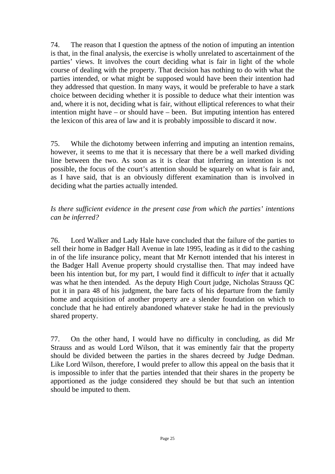74. The reason that I question the aptness of the notion of imputing an intention is that, in the final analysis, the exercise is wholly unrelated to ascertainment of the parties' views. It involves the court deciding what is fair in light of the whole course of dealing with the property. That decision has nothing to do with what the parties intended, or what might be supposed would have been their intention had they addressed that question. In many ways, it would be preferable to have a stark choice between deciding whether it is possible to deduce what their intention was and, where it is not, deciding what is fair, without elliptical references to what their intention might have – or should have – been. But imputing intention has entered the lexicon of this area of law and it is probably impossible to discard it now.

75. While the dichotomy between inferring and imputing an intention remains, however, it seems to me that it is necessary that there be a well marked dividing line between the two. As soon as it is clear that inferring an intention is not possible, the focus of the court's attention should be squarely on what is fair and, as I have said, that is an obviously different examination than is involved in deciding what the parties actually intended.

#### *Is there sufficient evidence in the present case from which the parties' intentions can be inferred?*

76. Lord Walker and Lady Hale have concluded that the failure of the parties to sell their home in Badger Hall Avenue in late 1995, leading as it did to the cashing in of the life insurance policy, meant that Mr Kernott intended that his interest in the Badger Hall Avenue property should crystallise then. That may indeed have been his intention but, for my part, I would find it difficult to *infer* that it actually was what he then intended. As the deputy High Court judge, Nicholas Strauss QC put it in para 48 of his judgment, the bare facts of his departure from the family home and acquisition of another property are a slender foundation on which to conclude that he had entirely abandoned whatever stake he had in the previously shared property.

77. On the other hand, I would have no difficulty in concluding, as did Mr Strauss and as would Lord Wilson, that it was eminently fair that the property should be divided between the parties in the shares decreed by Judge Dedman. Like Lord Wilson, therefore, I would prefer to allow this appeal on the basis that it is impossible to infer that the parties intended that their shares in the property be apportioned as the judge considered they should be but that such an intention should be imputed to them.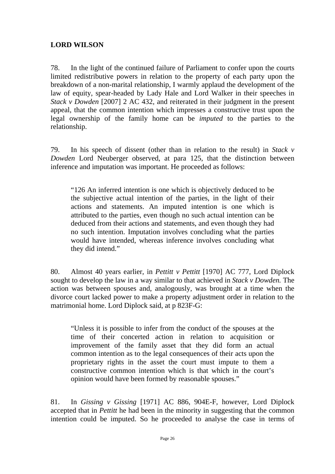### **LORD WILSON**

78. In the light of the continued failure of Parliament to confer upon the courts limited redistributive powers in relation to the property of each party upon the breakdown of a non-marital relationship, I warmly applaud the development of the law of equity, spear-headed by Lady Hale and Lord Walker in their speeches in *Stack v Dowden* [2007] 2 AC 432*,* and reiterated in their judgment in the present appeal, that the common intention which impresses a constructive trust upon the legal ownership of the family home can be *imputed* to the parties to the relationship.

79. In his speech of dissent (other than in relation to the result) in *Stack v Dowden* Lord Neuberger observed, at para 125, that the distinction between inference and imputation was important. He proceeded as follows:

"126 An inferred intention is one which is objectively deduced to be the subjective actual intention of the parties, in the light of their actions and statements. An imputed intention is one which is attributed to the parties, even though no such actual intention can be deduced from their actions and statements, and even though they had no such intention. Imputation involves concluding what the parties would have intended, whereas inference involves concluding what they did intend."

80. Almost 40 years earlier, in *Pettitt v Pettitt* [1970] AC 777, Lord Diplock sought to develop the law in a way similar to that achieved in *Stack v Dowden.* The action was between spouses and, analogously, was brought at a time when the divorce court lacked power to make a property adjustment order in relation to the matrimonial home. Lord Diplock said, at p 823F-G:

"Unless it is possible to infer from the conduct of the spouses at the time of their concerted action in relation to acquisition or improvement of the family asset that they did form an actual common intention as to the legal consequences of their acts upon the proprietary rights in the asset the court must impute to them a constructive common intention which is that which in the court's opinion would have been formed by reasonable spouses."

81. In *Gissing v Gissing* [1971] AC 886, 904E-F, however, Lord Diplock accepted that in *Pettitt* he had been in the minority in suggesting that the common intention could be imputed. So he proceeded to analyse the case in terms of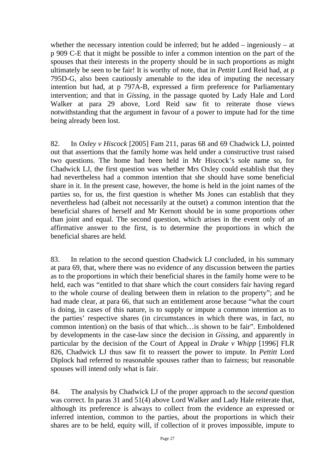whether the necessary intention could be inferred; but he added – ingeniously – at p 909 C-E that it might be possible to infer a common intention on the part of the spouses that their interests in the property should be in such proportions as might ultimately be seen to be fair! It is worthy of note, that in *Pettitt* Lord Reid had, at p 795D-G, also been cautiously amenable to the idea of imputing the necessary intention but had, at p 797A-B, expressed a firm preference for Parliamentary intervention; and that in *Gissing,* in the passage quoted by Lady Hale and Lord Walker at para 29 above, Lord Reid saw fit to reiterate those views notwithstanding that the argument in favour of a power to impute had for the time being already been lost.

82. In *Oxley v Hiscock* [2005] Fam 211, paras 68 and 69 Chadwick LJ, pointed out that assertions that the family home was held under a constructive trust raised two questions. The home had been held in Mr Hiscock's sole name so, for Chadwick LJ, the first question was whether Mrs Oxley could establish that they had nevertheless had a common intention that she should have some beneficial share in it. In the present case, however, the home is held in the joint names of the parties so, for us, the first question is whether Ms Jones can establish that they nevertheless had (albeit not necessarily at the outset) a common intention that the beneficial shares of herself and Mr Kernott should be in some proportions other than joint and equal. The second question, which arises in the event only of an affirmative answer to the first, is to determine the proportions in which the beneficial shares are held.

83. In relation to the second question Chadwick LJ concluded, in his summary at para 69, that, where there was no evidence of any discussion between the parties as to the proportions in which their beneficial shares in the family home were to be held, each was "entitled to that share which the court considers fair having regard to the whole course of dealing between them in relation to the property"; and he had made clear, at para 66, that such an entitlement arose because "what the court is doing, in cases of this nature, is to supply or impute a common intention as to the parties' respective shares (in circumstances in which there was, in fact, no common intention) on the basis of that which…is shown to be fair". Emboldened by developments in the case-law since the decision in *Gissing*, and apparently in particular by the decision of the Court of Appeal in *Drake v Whipp* [1996] FLR 826, Chadwick LJ thus saw fit to reassert the power to impute. In *Pettitt* Lord Diplock had referred to reasonable spouses rather than to fairness; but reasonable spouses will intend only what is fair.

84. The analysis by Chadwick LJ of the proper approach to the *second* question was correct. In paras 31 and 51(4) above Lord Walker and Lady Hale reiterate that, although its preference is always to collect from the evidence an expressed or inferred intention, common to the parties, about the proportions in which their shares are to be held, equity will, if collection of it proves impossible, impute to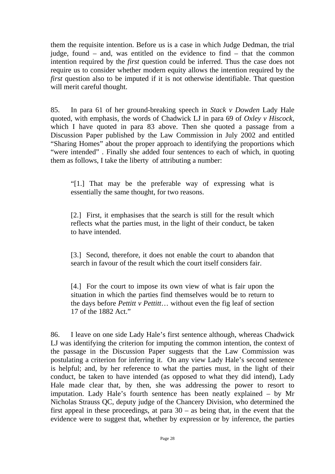them the requisite intention. Before us is a case in which Judge Dedman, the trial judge, found – and, was entitled on the evidence to find – that the common intention required by the *first* question could be inferred. Thus the case does not require us to consider whether modern equity allows the intention required by the *first* question also to be imputed if it is not otherwise identifiable. That question will merit careful thought.

85. In para 61 of her ground-breaking speech in *Stack v Dowden* Lady Hale quoted, with emphasis, the words of Chadwick LJ in para 69 of *Oxley v Hiscock*, which I have quoted in para 83 above. Then she quoted a passage from a Discussion Paper published by the Law Commission in July 2002 and entitled "Sharing Homes" about the proper approach to identifying the proportions which "were intended" . Finally she added four sentences to each of which, in quoting them as follows, I take the liberty of attributing a number:

"[1.] That may be the preferable way of expressing what is essentially the same thought, for two reasons.

[2.] First, it emphasises that the search is still for the result which reflects what the parties must, in the light of their conduct, be taken to have intended.

[3.] Second, therefore, it does not enable the court to abandon that search in favour of the result which the court itself considers fair.

[4.] For the court to impose its own view of what is fair upon the situation in which the parties find themselves would be to return to the days before *Pettitt v Pettitt*… without even the fig leaf of section 17 of the 1882 Act."

86. I leave on one side Lady Hale's first sentence although, whereas Chadwick LJ was identifying the criterion for imputing the common intention, the context of the passage in the Discussion Paper suggests that the Law Commission was postulating a criterion for inferring it. On any view Lady Hale's second sentence is helpful; and, by her reference to what the parties must, in the light of their conduct, be taken to have intended (as opposed to what they did intend), Lady Hale made clear that, by then, she was addressing the power to resort to imputation. Lady Hale's fourth sentence has been neatly explained – by Mr Nicholas Strauss QC, deputy judge of the Chancery Division, who determined the first appeal in these proceedings, at para 30 – as being that, in the event that the evidence were to suggest that, whether by expression or by inference, the parties